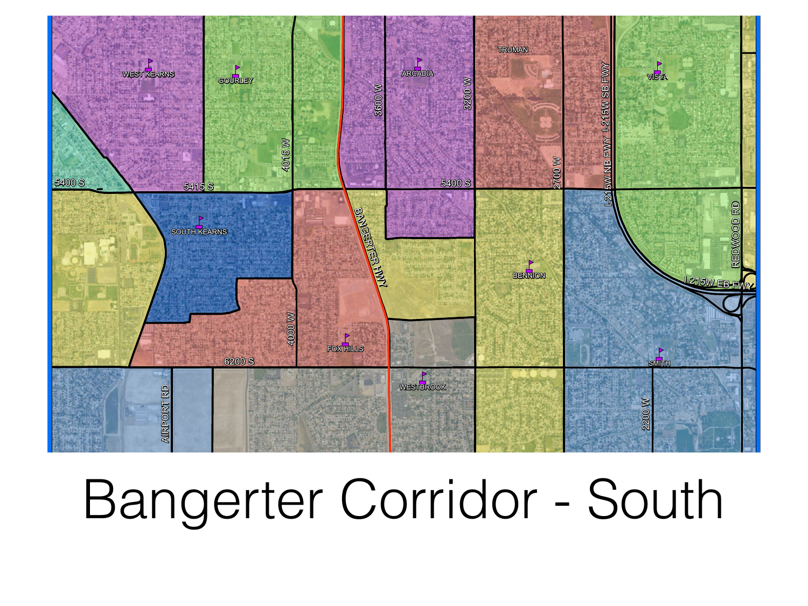

## Bangerter Corridor - South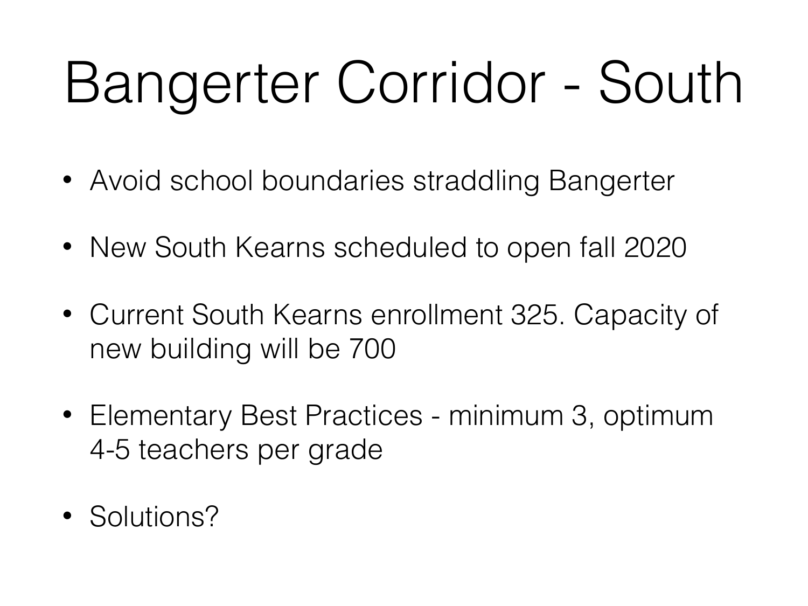## Bangerter Corridor - South

- Avoid school boundaries straddling Bangerter
- New South Kearns scheduled to open fall 2020
- Current South Kearns enrollment 325. Capacity of new building will be 700
- Elementary Best Practices minimum 3, optimum 4-5 teachers per grade
- Solutions?